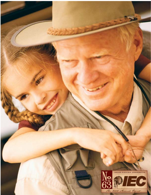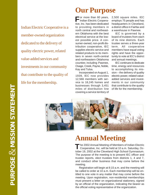**PURPOSE MISSION STATEMENT &** PURPOSE & MISSION STATEMENT Indian Electric Cooperative is a member-owned organization dedicated to the delivery of quality electric power, related value-added services and investments in our community that contribute to the quality of life for the membership.

## **Our Purpose**

**For more than 60 years,**<br>Indian Electric Coopera-Indian Electric Cooperative, Inc. has been dedicated to providing members in north central and northeastern Oklahoma with the best electrical service at the lowest possible price. A consumer-owned, non-profit distribution cooperative, IEC supplies electric service and related products to its members in seven north-central and northeastern Oklahoma counties including Pawnee, Osage, Creek, Payne, Noble, Kay and Tulsa.

Incorporated on August 1, 1939, IEC now provides 12,566 members with service to 18,245 homes and businesses through 3,451 miles of distribution line covering a service territory of 2,500 square miles. IEC employs 75 people and has headquarters in Cleveland, a district office in Fairfax and a warehouse in Pawnee.

IEC is governed by a board of trustees from each of its nine districts. Each trustee serves a three-year term. All cooperative members have equal voting rights and have the opportunity to vote at IEC's district and annual meetings.

IEC continues to dedicate time, energy and resources to accomplishing its mission – the delivery of quality electric power, related valueadded services and investments in our community that contribute to the quality of life for the membership.



# **Annual Meeting**

The 2002 Annual Meeting of Members of Indian Electric The 2002 Annual Meeting of Members of Indian Electric<br>Cooperative, Inc. will be held at 10 a.m. Saturday, October 19, 2002 at the Cleveland High School Gymnasium. The purpose of the meeting is to present IEC officer and trustee reports, elect trustees from districts 1, 4 and 7, and conduct other business that may come before the meeting.

Registration will begin at 8:15 a.m. and the meeting will be called to order at 10 a.m. Each membership will be entitled to one vote in any matter that may come before the meeting. Upon registration, non-residential memberships must present a letter on organizational stationery, signed by an official of the organization, indicating the bearer as the official voting representative of the organization.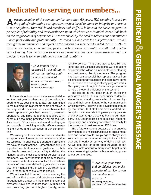## **Dedicated to serving our members...**

*trusted member of the community for more than 60 years, IEC remains focused on* **A** *trusted member of the community for more than 60 years, IEC remains focused on the goal of maintaining a cooperative system based on honesty, integrity and service to our neighbors. Your IEC board members and staff still believe in the basic cooperative principles of reliability and trustworthiness upon which we were founded. As we look back on the tragic events of September 11, we are struck by the need to refocus our commitment – both personally and professionally – to reach out and care for our fellow man. We are taking time to remember and reflect on the reasons our members founded IEC in 1939 – to provide our homes, communities, farms and businesses with light, warmth and a better way of living. Our dedication to serve our members has never been stronger and our pledge to you is to do so with dedication and reliability.*



*"...our bottom line is measured by our ability to deliver the highest quality, most economical service to our members."* **Terry M. Jech,** IEC General Manager

In the midst of business scandals revealed during the past year in other parts of the nation, it's good to know your friends at IEC are committed to maintaining the highest standards of ethics in the way we do business. Our member-elected board represents your best interests, oversees operations, and hires independent auditors to inspect our accounting practices and procedures. As a result, IEC is a lean, stable and healthy system capable of providing reliable, efficient energy to the homes and businesses in our communities.

We value your trust and confidence and make exceptional service to you, our number one priority. We're not in business to generate a profit and we have no stock options. Rather than looking to a profit-driven bottom line for guidance, our bottom line is measured by our ability to deliver the highest quality, most economical service to our members. We don't benefit at all from collecting excessive profits. As a matter of fact, if we do have money left over after delivering your electric service and maintaining the system, we return it to you in the form of capital credits checks.

We are excited to report we are nearing the end of our first phase of right-of-way clearing throughout the system. At the end of the year, our crews will have cleared more than 1,600 miles of line providing you with higher quality, more

reliable service. That translates to less blinking lights and less voltage fluctuations. Our operations department has done an incredible job of clearing and maintaining the rights-of-way. The program has been so successful that representatives from electric cooperatives across the state have come to IEC to see how our right-of-way program works. Next year, we will begin to focus on improvements to help the overall efficiency of the system.

The ice storm that came through earlier this year gave us an unusual opportunity to demonstrate the outstanding work ethic of our employees and their commitment to the communities in which they live. Following the devastation created by that storm, IEC staff and crews worked tirelessly for nine days rebuilding nearly sixty-percent of our system to get electricity back to our members. They undertook this enormous task responding quickly and efficiently to restore electricity to the homes and businesses on IEC lines.

IEC's future is strong because of our ongoing commitment to a mission that focuses on our members and not on profits. We pledge to always keep service to you as our number one priority, and honesty and integrity as our way of doing business. As we look back on more than 60 years of service, we look forward to many more bright years ahead – working together with you to bring power to our communities.



*"...we value your trust and confidence and make exceptional service to you our number one priority..."* **Dr. Greg Fielding,** IEC Board of Trustees President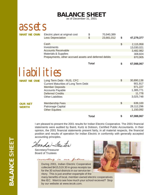### **BALANCE SHEET**

as of December 31, 2001

assets

**WHAT WE OWN**

| Electric plant at original cost                       |    | 70,940,389 |    |            |
|-------------------------------------------------------|----|------------|----|------------|
| <b>Less Depreciation</b>                              | S. | 23,661,012 | S  | 47,279,377 |
|                                                       |    |            |    |            |
| Cash                                                  |    |            | \$ | 2,115,958  |
| Investments                                           |    |            |    | 13,030,021 |
| <b>Accounts Receivable</b>                            |    |            |    | 3,482,982  |
| <b>Materials &amp; Supplies</b>                       |    |            |    | 308,824    |
| Prepayments, other accrued assets and deferred debits |    |            |    | 870,905    |
|                                                       |    |            |    |            |

#### **Total**

# **liabilities**

| <b>WHAT WE OWE</b> | Long Term Debt - RUS, CFC                   | \$<br>30,890,138 |
|--------------------|---------------------------------------------|------------------|
|                    | <b>Current Maturities of Long Term Debt</b> | 901,917          |
|                    | <b>Member Deposits</b>                      | 971,227          |
|                    | <b>Accounts Payable</b>                     | 1,385,771        |
|                    | <b>Deferred Credits</b>                     | 11,778           |
|                    | <b>Other Liabilities</b>                    | 3,025,748        |
| <b>OUR NET</b>     | <b>Membership Fees</b>                      | \$<br>639,100    |
| <b>WORTH</b>       | Patronage Capital                           | 28,112,296       |
|                    | <b>Other Equities</b>                       | 1,150,092        |
|                    |                                             |                  |
|                    | Total                                       | 67,088,067       |

I am pleased to present the 2001 results for Indian Electric Cooperative. The 2001 financial statements were audited by Baird, Kurtz & Dobson, Certified Public Accountants. In their opinion, the 2001 financial statements present fairly, in all material respects, the financial position and results of operation for Indian Electric in conformity with generally accepted accounting principles.

anda Jaster

Secretary/Treasurer Board of Trustees

During 2001, Indian Electric Cooperative collected \$415,519.30 in gross receipts tax for the 30 school districts in our service territory. This is just another expample of the

investing in our future ...



**\$ 67,088,067**

many benefits of local, member-owned electric cooperatives like IEC. Want to see how much your school recieved? Stop by our website at www.iecok.com.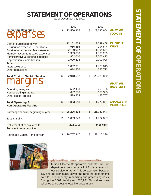### **STATEMENT OF OPERATIONS**

as of December 31, 2001

|                                       |                           | 2000       |               | 2001       |                                    |
|---------------------------------------|---------------------------|------------|---------------|------------|------------------------------------|
| <b>Operating Revenues</b><br>penses   | $\mathcal{L}$             | 23,500,965 | \$            | 23,697,654 | <b>WHAT WE</b><br><b>TOOK IN</b>   |
| Cost of purchased power               |                           | 12,101,554 |               | 12,249,408 | <b>WHERE IT</b>                    |
| Distribution expense - Operations     |                           | 956,556    |               | 994,544    | <b>WENT</b>                        |
| Distribution expense - Maintenance    |                           | 2,190,967  |               | 1,904,561  |                                    |
| Member accounts & sales expenses      |                           | 1,359,830  |               | 1,569,299  |                                    |
| Administrative & general expenses     |                           | 1,852,010  |               | 2,206,413  |                                    |
| Depreciation & amortization           |                           | 1,990,428  |               | 2,000,096  |                                    |
| <b>Taxes</b>                          |                           |            |               |            |                                    |
| Interest expense                      |                           | 1,852,351  |               | 1,778,815  |                                    |
| Other deductions                      |                           | 614,856    |               | 325,723    |                                    |
|                                       |                           |            |               |            |                                    |
| <b>Total Cost of Electric Service</b> | $\mathbb{S}$              | 22,918,552 | \$            | 23,028,859 |                                    |
| margins                               |                           |            |               |            | <b>WHAT WE</b><br><b>HAVE LEFT</b> |
| Operating margins                     |                           | 582,413    |               | 668,795    |                                    |
| Non-operating margins                 |                           | 692,006    |               | 680,365    |                                    |
| Other capital credits                 |                           | 579,224    |               | 423,707    |                                    |
|                                       |                           |            |               |            |                                    |
| <b>Total Operating &amp;</b>          | $\frac{1}{2}$             | 1,853,643  | $\mathcal{S}$ | 1,772,867  | <b>CHANGES IN</b>                  |
| <b>Non-Operating Margins</b>          |                           |            |               |            | <b>PATRONAGE</b>                   |
|                                       |                           |            |               |            |                                    |
| Patronage capital - beginning of year | $\boldsymbol{\mathsf{S}}$ | 25,206,334 | $\mathcal{S}$ | 26,767,947 |                                    |
|                                       |                           |            |               |            |                                    |
| Total margins                         | \$                        | 1,853,643  | \$            | 1,772,867  |                                    |
|                                       |                           |            |               |            |                                    |
| Retirement of capital credits         |                           | (292,030)  |               | (428, 518) |                                    |
| Transfer to other equities            |                           |            |               |            |                                    |
|                                       |                           |            |               |            |                                    |
| Patronage Capital - end of year       | \$                        | 26,767,947 | \$            | 28,112,296 |                                    |



upporting our communities

Indian Electric Cooperative collects rural fire department dues on behalf of 11 departments in our service territory. This collaboration between

IEC and the community saves the rural fire departments over \$10,000 annually in handling and processing costs. During the 2001 fiscal year, \$70,941.26 in dues were collected at no cost to local fire departments.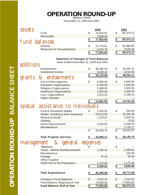# **OPERATION ROUND-UP**

December 31, 2000 and 2001

| assets        |                                                                     |                         | 2000                   |                 | 2001                   |
|---------------|---------------------------------------------------------------------|-------------------------|------------------------|-----------------|------------------------|
|               | Cash                                                                | \$                      | 74,044.67              | \$              | 85,373.13              |
|               | Receivable                                                          |                         | 3,808.93               |                 |                        |
|               |                                                                     | \$                      | 77,853.60              | \$              | 85,373.13              |
| fund          | balances                                                            |                         |                        |                 |                        |
|               | General                                                             | \$                      | 72,778.81              | \$              | 81,994.65              |
|               | <b>Reserved for Encumbrances</b>                                    |                         | 5,074.79               |                 | 3,378.48               |
|               |                                                                     | \$                      | 77,853.60              | $\overline{\$}$ | 85,373.13              |
|               |                                                                     |                         |                        |                 |                        |
|               | <b>Statement of Changes in Fund Balances</b>                        |                         |                        |                 |                        |
| additions     | Years ended December 31, 2000 and 2001                              |                         |                        |                 |                        |
|               |                                                                     | \$                      |                        |                 |                        |
|               | Endowments<br><b>Investment Income</b>                              |                         | 46,482.54              | \$              | 44,281.11              |
|               |                                                                     |                         | 3,628.44               |                 | 4,010.00               |
| <b>grants</b> | endowments<br>$\mathbf{z}$                                          | \$                      | 50,110.98              | $\frac{1}{2}$   | 48,291.11              |
|               | Fire & Police Agencies                                              | \$                      | 2,560.00               | \$              | 2,890.00               |
|               | <b>Education Organizations</b>                                      |                         | 5,200.00               |                 | 1,845.00               |
|               | Religious Organizations                                             |                         | 2,488.00               |                 | 3,500.00               |
|               | <b>Healthcare Organizations</b>                                     |                         | 1,800.00               |                 | 2,300.00               |
|               | <b>Civic Organizations</b>                                          |                         | 2,513.52               |                 | 4,186.33               |
|               | <b>Public Libraries</b>                                             |                         |                        |                 |                        |
|               |                                                                     |                         | 14,561.52              | \$              | 14,721.33              |
|               | special assistance to individuals                                   |                         |                        |                 |                        |
|               |                                                                     |                         |                        |                 |                        |
|               | Food & Household Staples                                            | \$                      | 1,020.00               | \$              | 200.00                 |
|               | Shelter, Dwelling & Auto Assistance                                 |                         | 23,613.96              |                 | 16,383.28              |
|               | <b>Medical &amp; Dental</b>                                         |                         | 1,379.87               |                 | 2,503.16               |
|               | Clothing                                                            |                         |                        |                 | 73.33                  |
|               | Home Improvements                                                   |                         | 3,319.92               |                 | 2,538.43               |
|               | <b>Miscellaneous</b>                                                |                         |                        |                 | 1,726.17               |
|               |                                                                     | $\overline{\mathbb{S}}$ | 29,333.75              | $\overline{\$}$ | 23,424.37              |
|               |                                                                     |                         |                        |                 |                        |
|               | <b>Total Program Services</b>                                       | \$                      | 43,895.27              | \$              | 38,145.70              |
| management    | & general                                                           |                         | expenses               |                 |                        |
|               | Telephone                                                           |                         |                        | \$              |                        |
|               | <b>Travel - Vehicle Reimbursements</b>                              |                         | 1,150.41               |                 | 1,289.60               |
|               | Miscellaneous                                                       |                         |                        |                 | 125.00                 |
|               | Postage                                                             |                         | 75.20                  |                 | 36.28                  |
|               | <b>Office Supplies</b>                                              |                         |                        |                 |                        |
|               | <b>Audit Fees &amp; Tax Preparation</b>                             |                         | 1,175.00               |                 | 1,175.00               |
|               |                                                                     | \$                      | 2,400.61               | \$              | 2,625.88               |
|               |                                                                     |                         |                        |                 |                        |
|               | <b>Total Expenditures</b>                                           |                         | 46,295.88              | \$              | 40,771.58              |
|               | Increase in Fund Balances                                           | \$                      |                        | \$              | 7,519.53               |
|               |                                                                     |                         | 3,815.10               |                 |                        |
|               |                                                                     |                         |                        |                 |                        |
|               | Fund Balance, Beginning of Year<br><b>Fund Balance, End of Year</b> | \$                      | 74,038.50<br>77,853.60 | $\overline{\$}$ | 77,853.60<br>85,373.13 |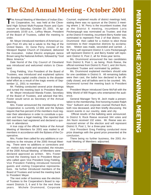### **The 62nd Annual Meeting - October 2001**

The Annual Meeting of Members of Indian Electric Cooperative, Inc. was held at the Cleveland High School Multi-Purpose Room and Gymhe Annual Meeting of Members of Indian Electric Cooperative, Inc. was held at the Clevenasium on Saturday, October 20, 2001. At approximately 10:00 a.m., LeRoy Meyer, President of the Board of Trustees, called the meeting to order.

Mr. Meyer introduced members of American Legion Post #3 who led a salute to the flag of the United States. Dr. Gene Perry, minister of the Westport Baptist Church of Cleveland, delivered the invocation. Indian Electric employee Janice Brown sang the National Anthem, followed by "God Bless America."

Dale Norrid of the City Council of Cleveland was introduced and welcomed visitors to Cleveland.

Greg Fielding, Vice President of the Board of Trustees, was introduced and explained options for donating capital credits checks to the disaster relief effort as a result of the tragic events of September 11, 2001 to members .

Mr. Fielding conducted several prize drawings and turned the meeting back to President Meyer.

Mr. Meyer introduced Wanda Foster, Secretary of the Board of Trustees, and advised that Mrs. Foster would serve as Secretary of the Annual Meeting.

Mrs. Foster announced the membership of the Cooperative is currently 12,566 and the Bylaws require that five-percent of the members must register their attendance in order to constitute a quorum and have a legal meeting. She reported that 660 members had registered and declared a quorum in attendance.

A true copy of the official Notice of the Annual Meeting of Members for 2001 was mailed to all members in accordance with the Bylaws of the Cooperative.

Mrs. Foster then called for any additions or corrections to the minutes of the 2000 Annual Meeting. There were no additions or corrections and on motion duly made and seconded, the minutes

of the 2000 Annual Meeting of Members were declared approved as written. Mrs. Foster turned the meeting back to President Meyer who called upon Vice President Greg Fielding. Vice President Fielding introduced honored guests and visiting Cooperative representatives. He further introduced members of the Board of Trustees and turned the meeting back to President Meyer.

The next order of business was the election of Trustees to the Cooperative's Board to represent Districts 3, 6 and 9 for the next three years. Michele Drummond, Corporate

Counsel, explained results of district meetings held, stating there was no quorum at the District 3 meeting where J. W. Perry is the incumbent trustee; that at the District 6 meeting, incumbent Loris Peckenpaugh was nominated as Trustee; and that at the District 9 meeting, incumbent Berry Keeler was nominated to represent Post 2 of that district. Ms. Drummond then called for a motion to elect those nominees to their respective districts by acclamation. Motion was made, seconded and carried. J. W. Perry will represent District 3; Loris Peckenpaugh will represent District 6; and Berry Keeler will represent District 9, Post 2, all for three-year terms.

Ms. Drummond announced the two candidates from District 9, Post 1, as being Rock Reese, the official nominee from District 9, Post 1, and Jim Nunn, incumbent Trustee and nominated by petition.

Ms. Drummond explained members should vote for one candidate in District 9. All remaining ballots were then cast, the ballot box declared to be officially closed, and all ballots sent to be counted. Ms. Drummond turned the meeting back to President Meyer.

President Meyer introduced Gene McFall with the Witty World of Will Rogers who entertained the audience.

General Manager Terry M. Jech made a presentation to the membership, first honoring trustee Ralph "Doc" Sullivent and corporate counsel Richard Burt, both now deceased, and then briefly discussing the recent events in our country, state and city.

 Official results of the balloting were announced. In District 9, Rock Reese received 344 votes and Jim Nunn received 132 votes. Mr. Reese was announced winner of the election and will represent District 9, Post 1, for a three-year term.

Vice President Greg Fielding conducted more prize drawings with the grand prize presented at the conclusion.

There being no further business, the 2001 Annual Meeting of Members adjourned.